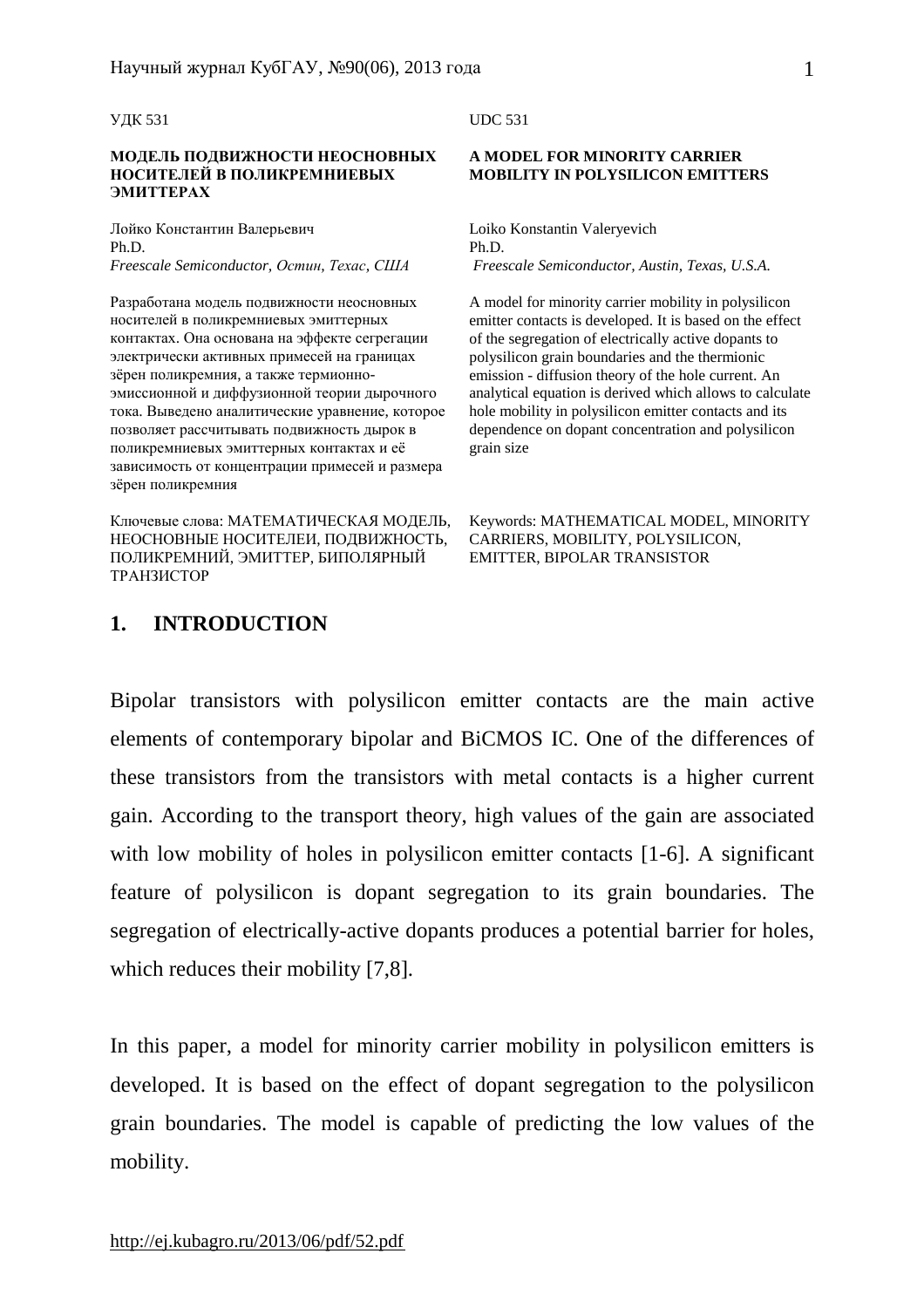УДК 531

### **МОДЕЛЬ ПОДВИЖНОСТИ НЕОСНОВНЫХ НОСИТЕЛЕЙ В ПОЛИКРЕМНИЕВЫХ ЭМИТТЕРАХ**

Лойко Константин Валерьевич Ph.D. *Freescale Semiconductor, Остин, Техас, США*

Разработана модель подвижности неосновных носителей в поликремниевых эмиттерных контактах. Она основана на эффекте сегрегации электрически активных примесей на границах зёрен поликремния, а также термионноэмиссионной и диффузионной теории дырочного тока. Выведено аналитические уравнение, которое позволяет рассчитывать подвижность дырок в поликремниевых эмиттерных контактах и её зависимость от концентрации примесей и размера зёрен поликремния

Ключевые слова: МАТЕМАТИЧЕСКАЯ МОДЕЛЬ, НЕОСНОВНЫЕ НОСИТЕЛЕИ, ПОДВИЖНОСТЬ, ПОЛИКРЕМНИЙ, ЭМИТТЕР, БИПОЛЯРНЫЙ ТРАНЗИСТОР

#### UDC 531

#### **A MODEL FOR MINORITY CARRIER MOBILITY IN POLYSILICON EMITTERS**

Loiko Konstantin Valeryevich Ph.D. *Freescale Semiconductor, Austin, Texas, U.S.A.* 

A model for minority carrier mobility in polysilicon emitter contacts is developed. It is based on the effect of the segregation of electrically active dopants to polysilicon grain boundaries and the thermionic emission - diffusion theory of the hole current. An analytical equation is derived which allows to calculate hole mobility in polysilicon emitter contacts and its dependence on dopant concentration and polysilicon grain size

Keywords: MATHEMATICAL MODEL, MINORITY CARRIERS, MOBILITY, POLYSILICON, EMITTER, BIPOLAR TRANSISTOR

# **1. INTRODUCTION**

Bipolar transistors with polysilicon emitter contacts are the main active elements of contemporary bipolar and BiCMOS IC. One of the differences of these transistors from the transistors with metal contacts is a higher current gain. According to the transport theory, high values of the gain are associated with low mobility of holes in polysilicon emitter contacts [1-6]. A significant feature of polysilicon is dopant segregation to its grain boundaries. The segregation of electrically-active dopants produces a potential barrier for holes, which reduces their mobility [7,8].

In this paper, a model for minority carrier mobility in polysilicon emitters is developed. It is based on the effect of dopant segregation to the polysilicon grain boundaries. The model is capable of predicting the low values of the mobility.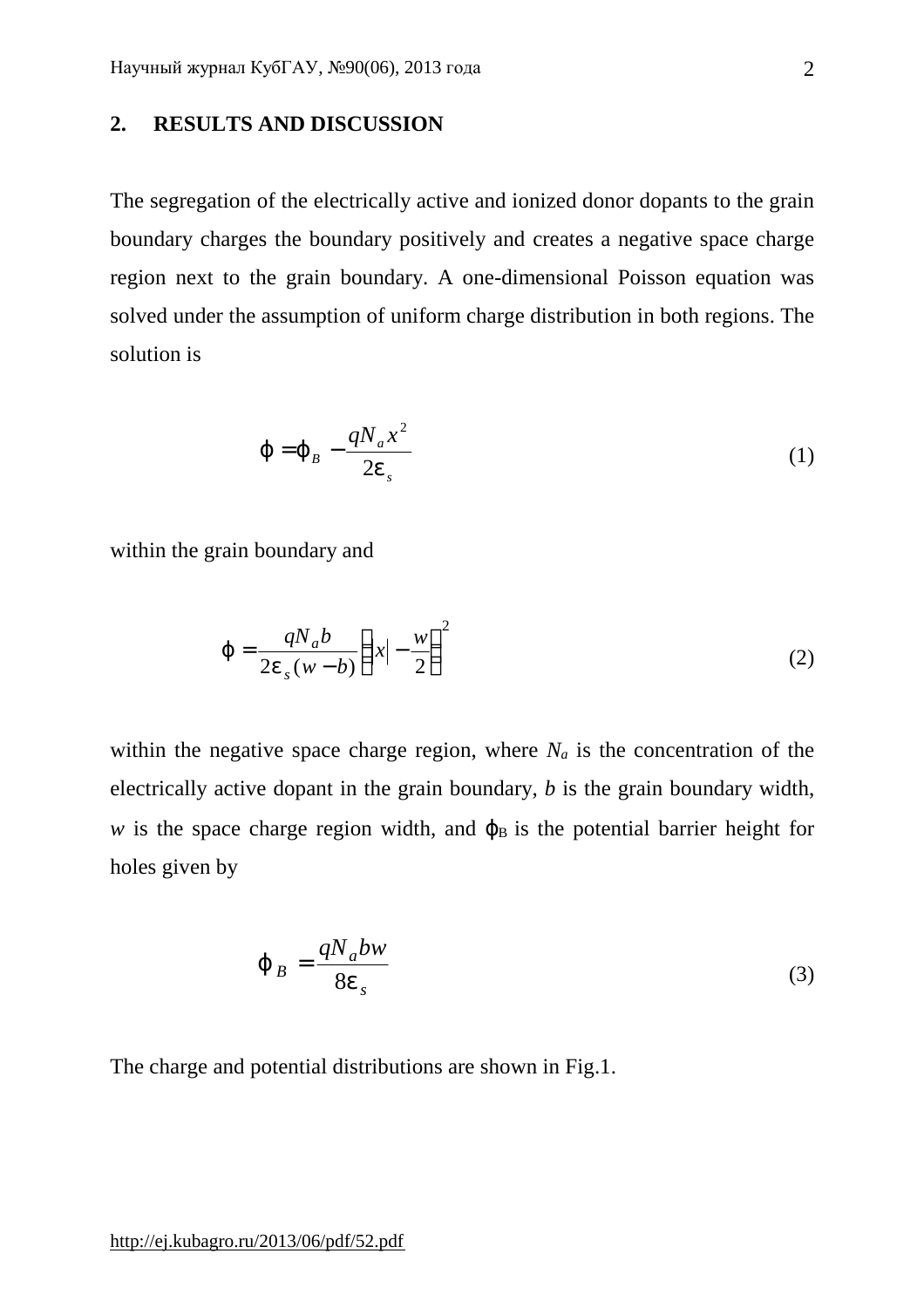### **2. RESULTS AND DISCUSSION**

The segregation of the electrically active and ionized donor dopants to the grain boundary charges the boundary positively and creates a negative space charge region next to the grain boundary. A one-dimensional Poisson equation was solved under the assumption of uniform charge distribution in both regions. The solution is

$$
\boldsymbol{j} = \boldsymbol{j}_B - \frac{qN_a x^2}{2\boldsymbol{e}_s} \tag{1}
$$

within the grain boundary and

$$
j = \frac{qN_a b}{2e_s (w-b)} \left( |x| - \frac{w}{2} \right)^2 \tag{2}
$$

within the negative space charge region, where  $N_a$  is the concentration of the electrically active dopant in the grain boundary, *b* is the grain boundary width, *w* is the space charge region width, and  $\varphi_B$  is the potential barrier height for holes given by

$$
\dot{\mathbf{J}}_B = \frac{qN_a b w}{8e_s} \tag{3}
$$

The charge and potential distributions are shown in Fig.1.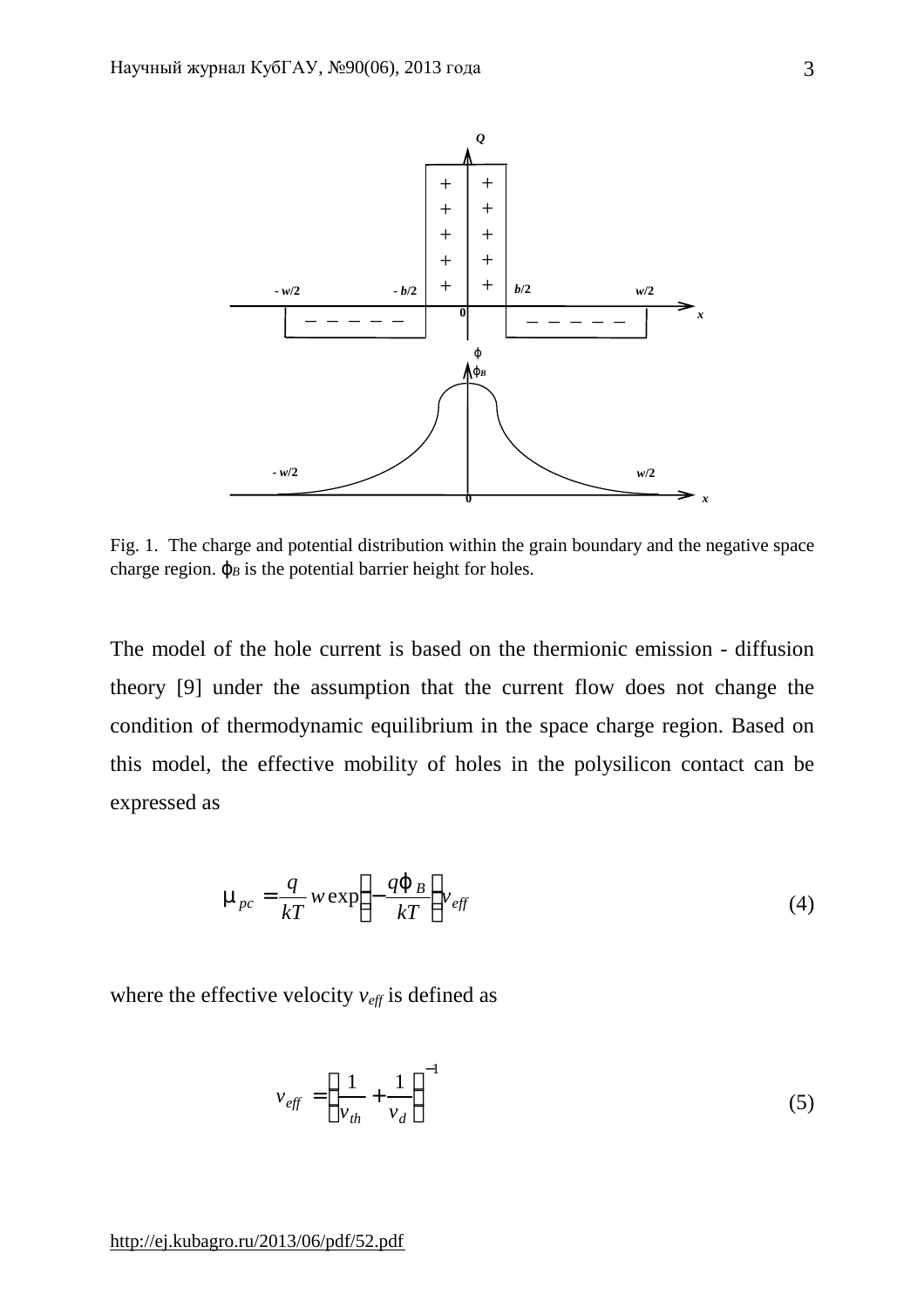

Fig. 1. The charge and potential distribution within the grain boundary and the negative space charge region.  $j_B$  is the potential barrier height for holes.

The model of the hole current is based on the thermionic emission - diffusion theory [9] under the assumption that the current flow does not change the condition of thermodynamic equilibrium in the space charge region. Based on this model, the effective mobility of holes in the polysilicon contact can be expressed as

$$
\mathbf{m}_{pc} = \frac{q}{kT} w \exp\left(-\frac{qj_B}{kT}\right) v_{\text{eff}}
$$
(4)

where the effective velocity  $v_{\text{eff}}$  is defined as

$$
v_{\text{eff}} = \left(\frac{1}{v_{\text{th}}} + \frac{1}{v_d}\right)^{-1} \tag{5}
$$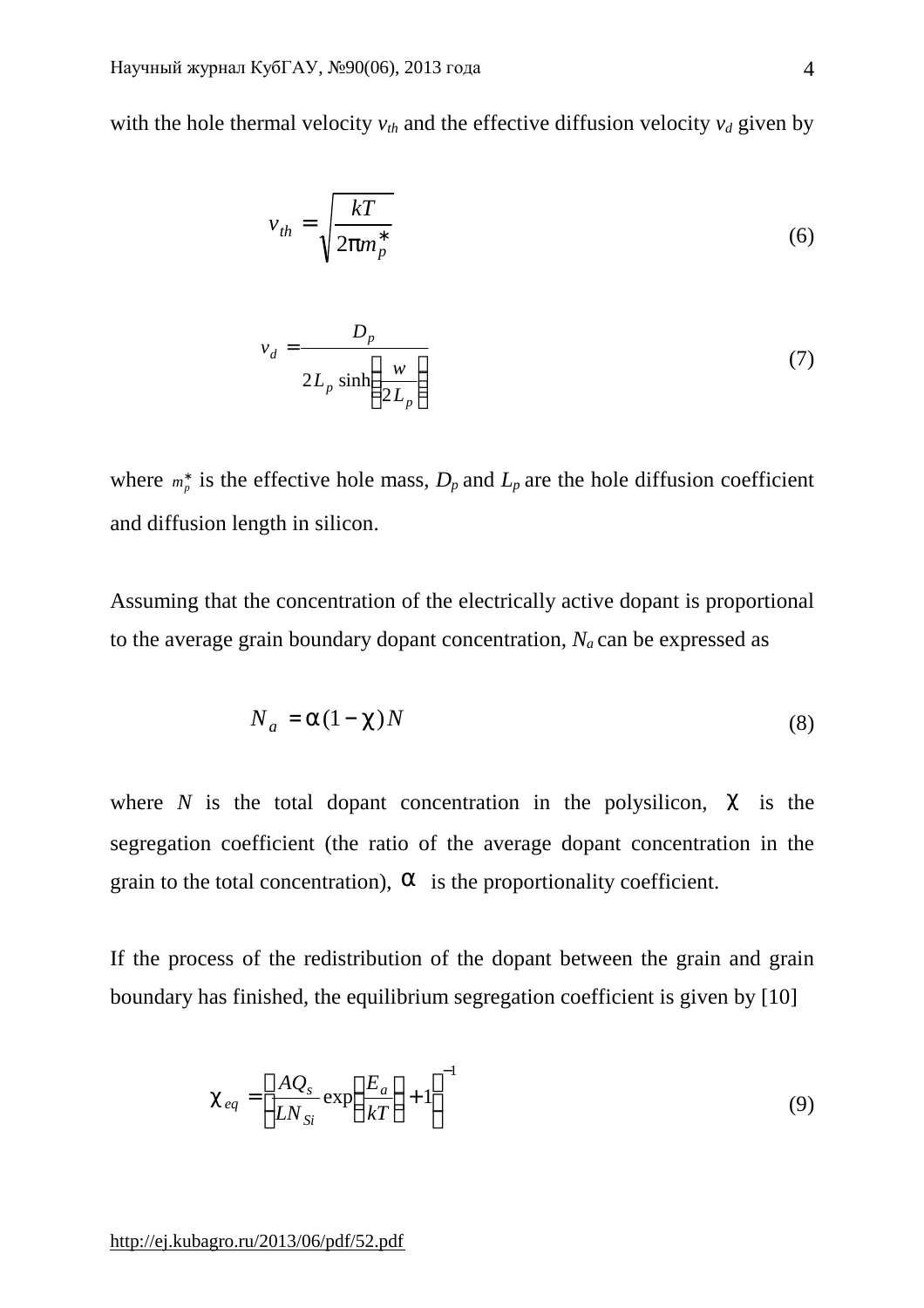with the hole thermal velocity  $v_{th}$  and the effective diffusion velocity  $v_d$  given by

$$
v_{th} = \sqrt{\frac{kT}{2pm_p^*}}
$$
 (6)

$$
v_d = \frac{D_p}{2L_p \sinh\left(\frac{w}{2L_p}\right)}\tag{7}
$$

where  $m_p^*$  is the effective hole mass,  $D_p$  and  $L_p$  are the hole diffusion coefficient and diffusion length in silicon.

Assuming that the concentration of the electrically active dopant is proportional to the average grain boundary dopant concentration,  $N_a$  can be expressed as

$$
N_a = a(1-c)N\tag{8}
$$

where  $N$  is the total dopant concentration in the polysilicon,  $C$  is the segregation coefficient (the ratio of the average dopant concentration in the grain to the total concentration), *a* is the proportionality coefficient.

If the process of the redistribution of the dopant between the grain and grain boundary has finished, the equilibrium segregation coefficient is given by [10]

$$
c_{eq} = \left[\frac{AQ_s}{LN_{Si}} \exp\left(\frac{E_a}{kT}\right) + 1\right]^{-1}
$$
\n(9)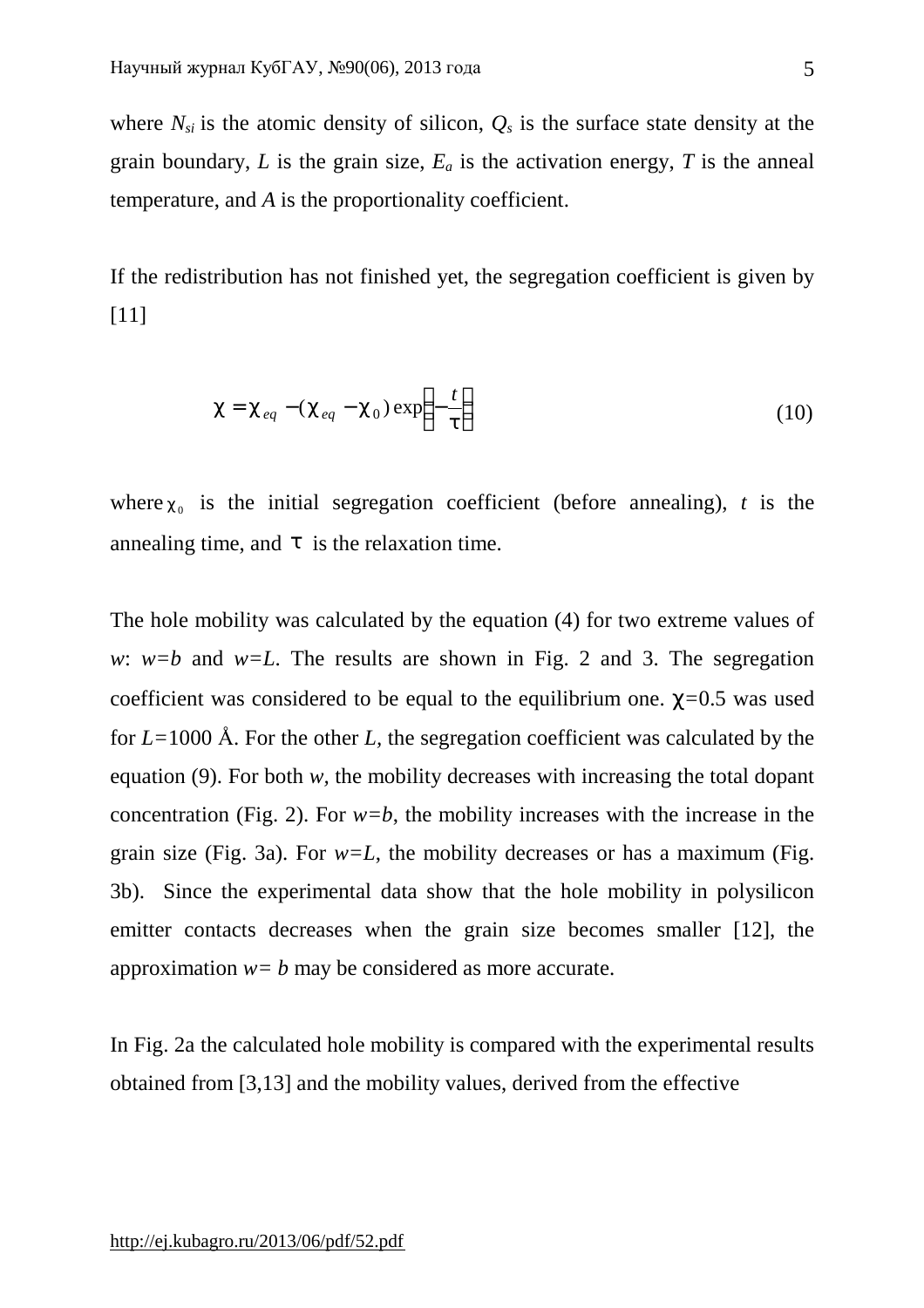where  $N_{si}$  is the atomic density of silicon,  $Q_s$  is the surface state density at the grain boundary, *L* is the grain size,  $E_a$  is the activation energy, *T* is the anneal temperature, and *A* is the proportionality coefficient.

If the redistribution has not finished yet, the segregation coefficient is given by [11]

$$
c = c_{eq} - (c_{eq} - c_0) \exp\left(-\frac{t}{t}\right)
$$
 (10)

where  $c_0$  is the initial segregation coefficient (before annealing), *t* is the annealing time, and  $t$  is the relaxation time.

The hole mobility was calculated by the equation (4) for two extreme values of *w*:  $w = b$  and  $w = L$ . The results are shown in Fig. 2 and 3. The segregation coefficient was considered to be equal to the equilibrium one. *c=*0.5 was used for *L=*1000 Å. For the other *L,* the segregation coefficient was calculated by the equation (9). For both *w,* the mobility decreases with increasing the total dopant concentration (Fig. 2). For  $w=b$ , the mobility increases with the increase in the grain size (Fig. 3a). For  $w=L$ , the mobility decreases or has a maximum (Fig. 3b). Since the experimental data show that the hole mobility in polysilicon emitter contacts decreases when the grain size becomes smaller [12], the approximation *w= b* may be considered as more accurate.

In Fig. 2a the calculated hole mobility is compared with the experimental results obtained from [3,13] and the mobility values, derived from the effective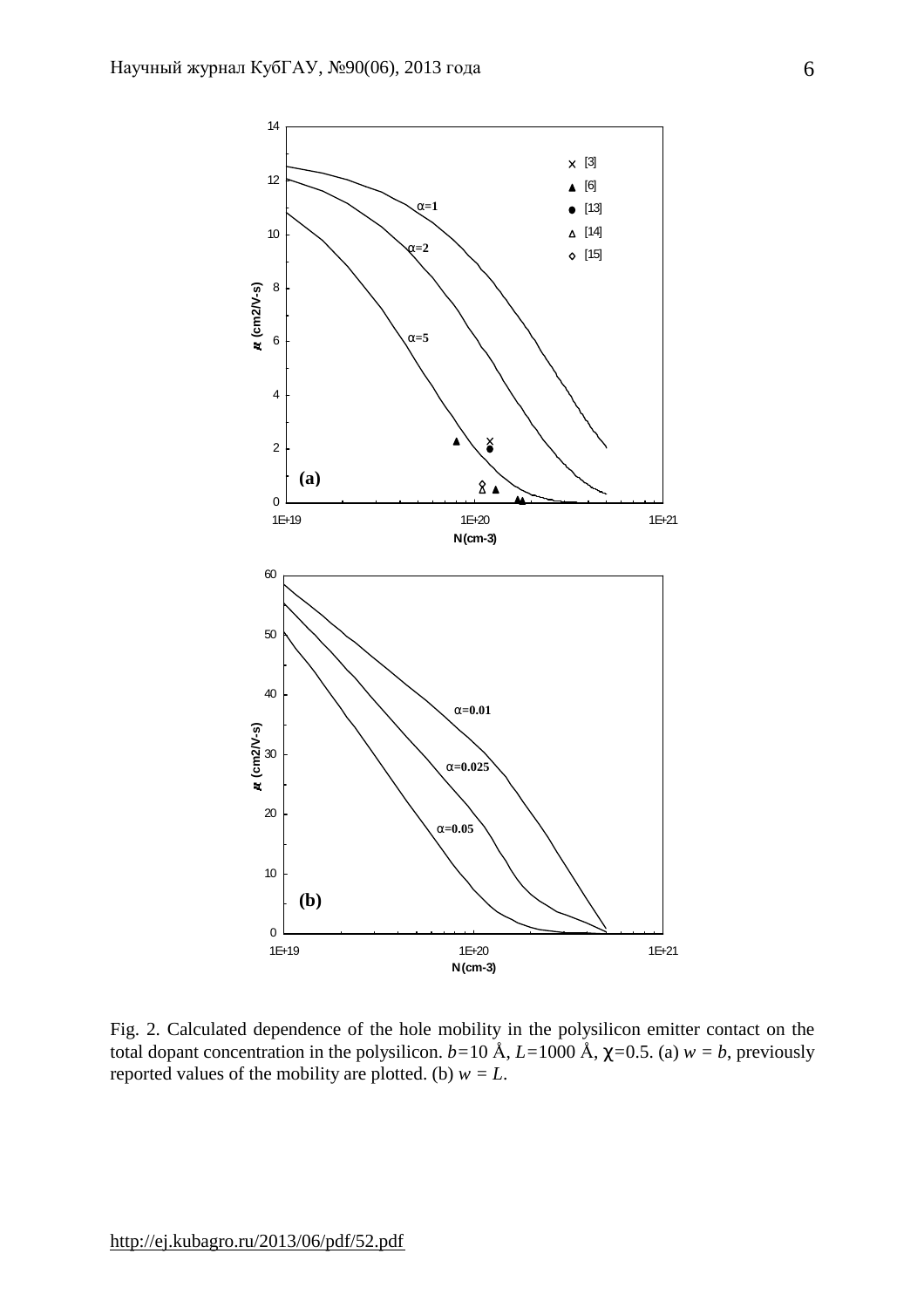

Fig. 2. Calculated dependence of the hole mobility in the polysilicon emitter contact on the total dopant concentration in the polysilicon.  $b=10 \text{ Å}$ ,  $L=1000 \text{ Å}$ ,  $c=0.5$ . (a)  $w=b$ , previously reported values of the mobility are plotted. (b)  $w = L$ .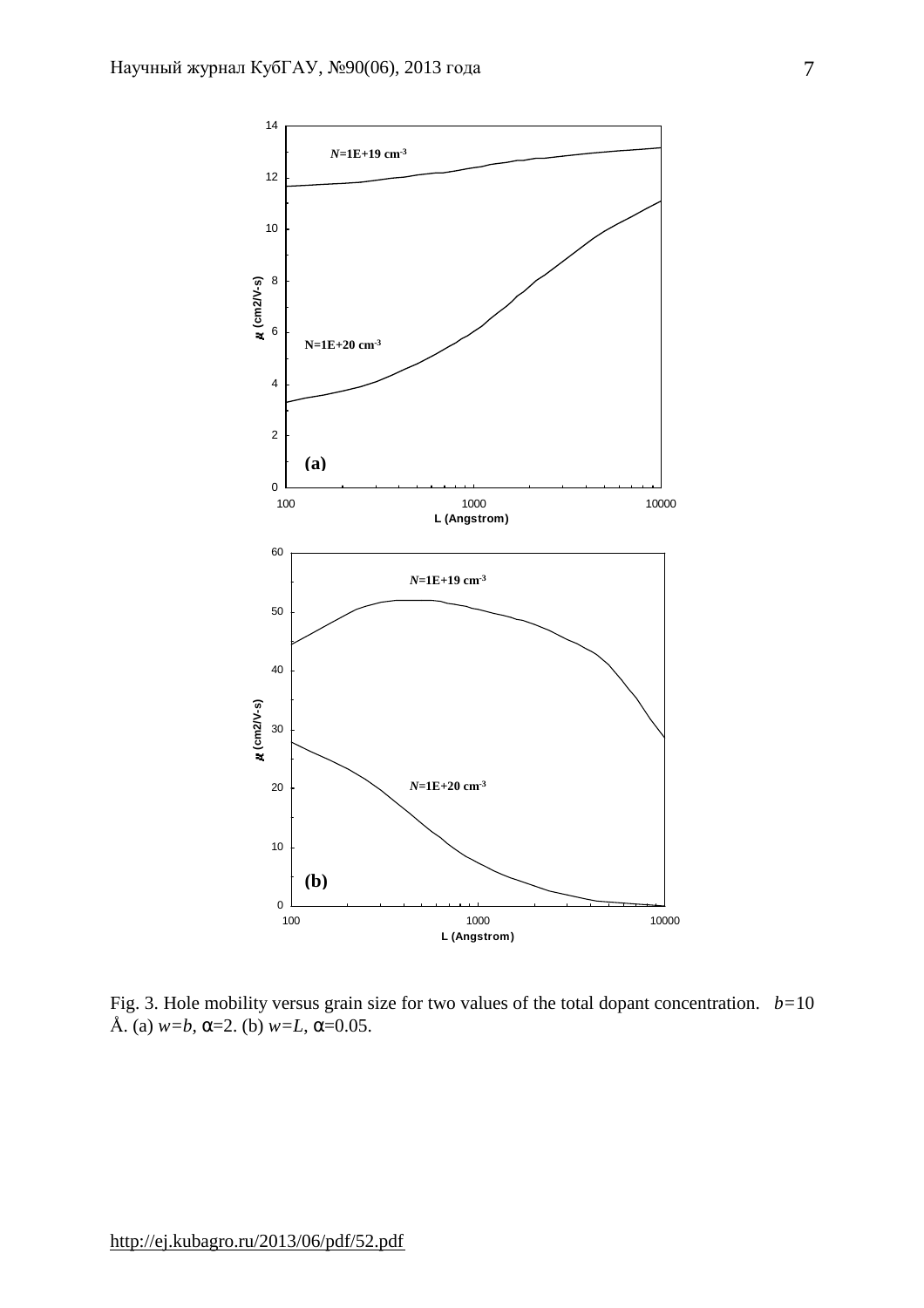

Fig. 3. Hole mobility versus grain size for two values of the total dopant concentration. *b=*10 Å. (a) *w=b, a*=2. (b) *w=L*, *a*=0.05.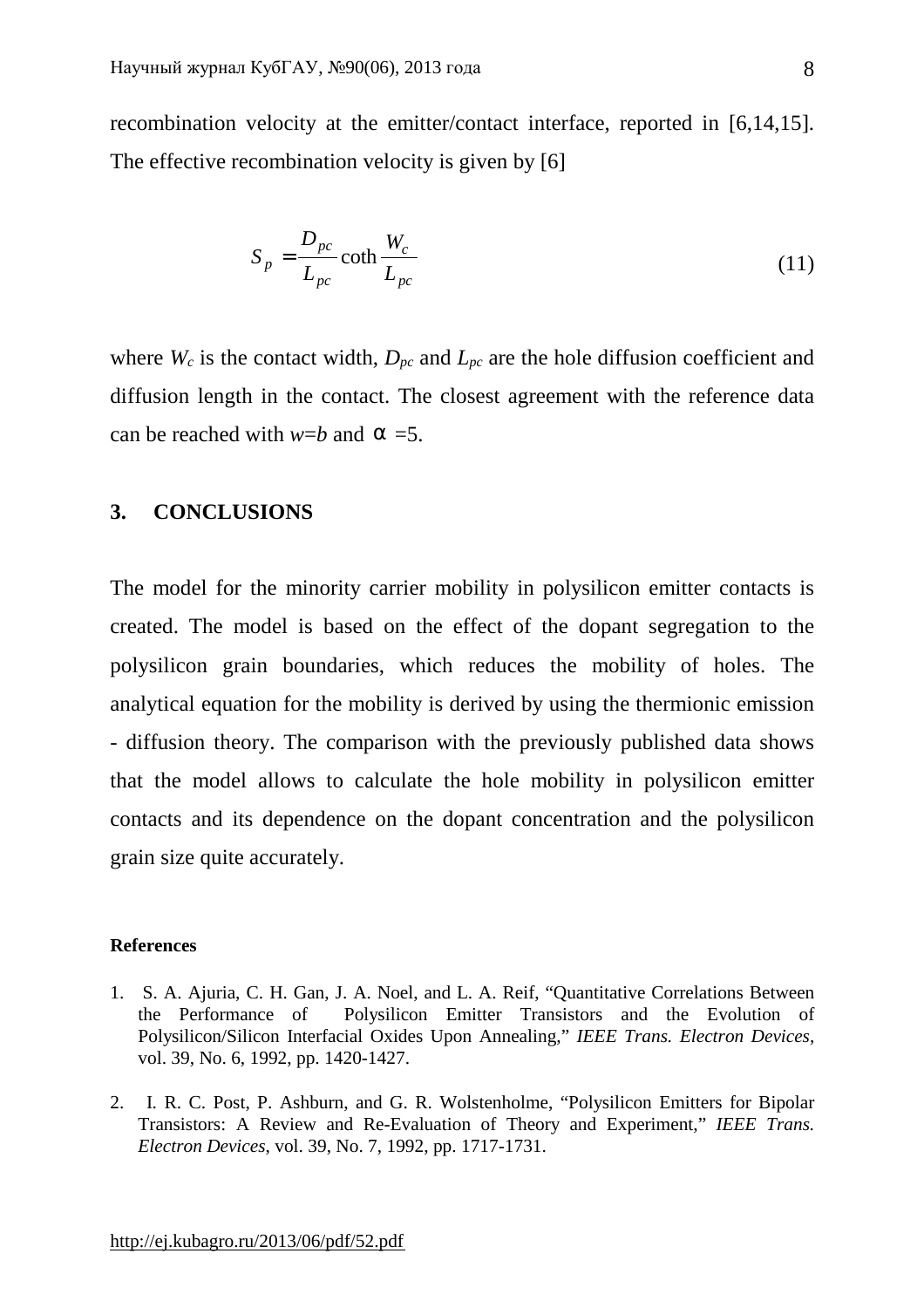recombination velocity at the emitter/contact interface, reported in [6,14,15]. The effective recombination velocity is given by [6]

$$
S_p = \frac{D_{pc}}{L_{pc}} \coth \frac{W_c}{L_{pc}}
$$
 (11)

where  $W_c$  is the contact width,  $D_{pc}$  and  $L_{pc}$  are the hole diffusion coefficient and diffusion length in the contact. The closest agreement with the reference data can be reached with  $w=b$  and  $a=5$ .

# **3. CONCLUSIONS**

The model for the minority carrier mobility in polysilicon emitter contacts is created. The model is based on the effect of the dopant segregation to the polysilicon grain boundaries, which reduces the mobility of holes. The analytical equation for the mobility is derived by using the thermionic emission - diffusion theory. The comparison with the previously published data shows that the model allows to calculate the hole mobility in polysilicon emitter contacts and its dependence on the dopant concentration and the polysilicon grain size quite accurately.

### **References**

- 1. S. A. Ajuria, C. H. Gan, J. A. Noel, and L. A. Reif, "Quantitative Correlations Between the Performance of Polysilicon Emitter Transistors and the Evolution of Polysilicon/Silicon Interfacial Oxides Upon Annealing," *IEEE Trans. Electron Devices*, vol. 39, No. 6, 1992, pp. 1420-1427.
- 2. I. R. C. Post, P. Ashburn, and G. R. Wolstenholme, "Polysilicon Emitters for Bipolar Transistors: A Review and Re-Evaluation of Theory and Experiment," *IEEE Trans. Electron Devices*, vol. 39, No. 7, 1992, pp. 1717-1731.